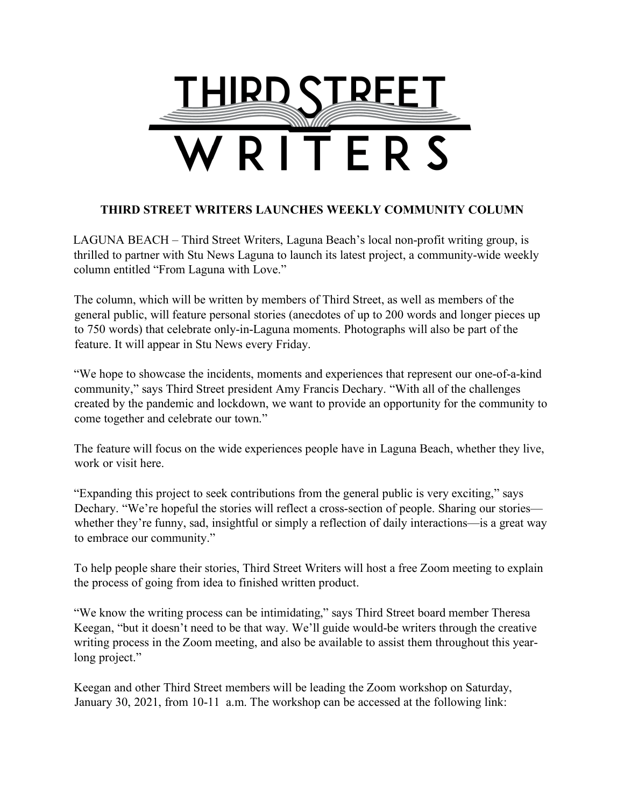

## **THIRD STREET WRITERS LAUNCHES WEEKLY COMMUNITY COLUMN**

LAGUNA BEACH – Third Street Writers, Laguna Beach's local non-profit writing group, is thrilled to partner with Stu News Laguna to launch its latest project, a community-wide weekly column entitled "From Laguna with Love."

The column, which will be written by members of Third Street, as well as members of the general public, will feature personal stories (anecdotes of up to 200 words and longer pieces up to 750 words) that celebrate only-in-Laguna moments. Photographs will also be part of the feature. It will appear in Stu News every Friday.

"We hope to showcase the incidents, moments and experiences that represent our one-of-a-kind community," says Third Street president Amy Francis Dechary. "With all of the challenges created by the pandemic and lockdown, we want to provide an opportunity for the community to come together and celebrate our town."

The feature will focus on the wide experiences people have in Laguna Beach, whether they live, work or visit here.

"Expanding this project to seek contributions from the general public is very exciting," says Dechary. "We're hopeful the stories will reflect a cross-section of people. Sharing our stories whether they're funny, sad, insightful or simply a reflection of daily interactions—is a great way to embrace our community."

To help people share their stories, Third Street Writers will host a free Zoom meeting to explain the process of going from idea to finished written product.

"We know the writing process can be intimidating," says Third Street board member Theresa Keegan, "but it doesn't need to be that way. We'll guide would-be writers through the creative writing process in the Zoom meeting, and also be available to assist them throughout this yearlong project."

Keegan and other Third Street members will be leading the Zoom workshop on Saturday, January 30, 2021, from 10-11 a.m. The workshop can be accessed at the following link: